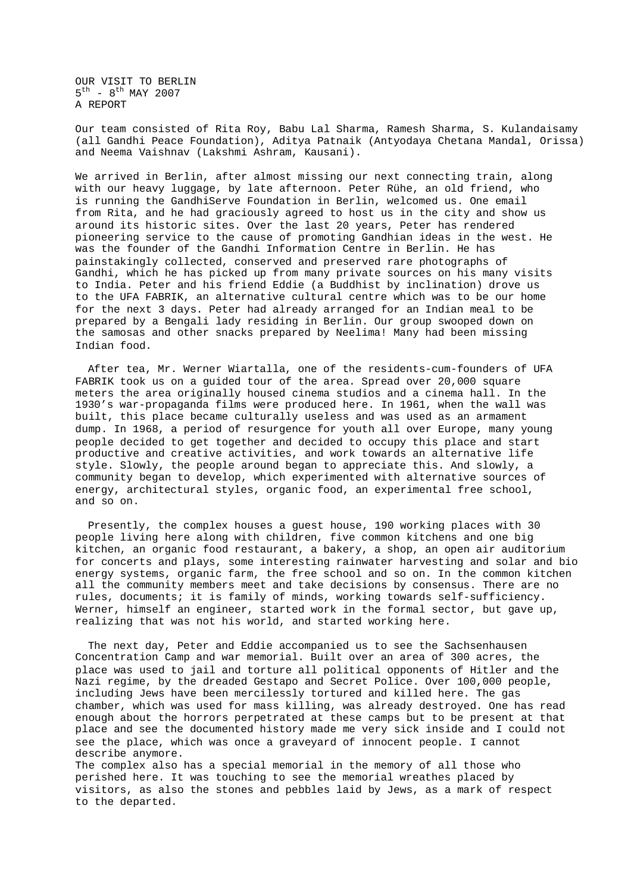OUR VISIT TO BERLIN  $5^{\text{th}}$  -  $8^{\text{th}}$  MAY 2007 A REPORT

Our team consisted of Rita Roy, Babu Lal Sharma, Ramesh Sharma, S. Kulandaisamy (all Gandhi Peace Foundation), Aditya Patnaik (Antyodaya Chetana Mandal, Orissa) and Neema Vaishnav (Lakshmi Ashram, Kausani).

We arrived in Berlin, after almost missing our next connecting train, along with our heavy luggage, by late afternoon. Peter Rühe, an old friend, who is running the GandhiServe Foundation in Berlin, welcomed us. One email from Rita, and he had graciously agreed to host us in the city and show us around its historic sites. Over the last 20 years, Peter has rendered pioneering service to the cause of promoting Gandhian ideas in the west. He was the founder of the Gandhi Information Centre in Berlin. He has painstakingly collected, conserved and preserved rare photographs of Gandhi, which he has picked up from many private sources on his many visits to India. Peter and his friend Eddie (a Buddhist by inclination) drove us to the UFA FABRIK, an alternative cultural centre which was to be our home for the next 3 days. Peter had already arranged for an Indian meal to be prepared by a Bengali lady residing in Berlin. Our group swooped down on the samosas and other snacks prepared by Neelima! Many had been missing Indian food.

After tea, Mr. Werner Wiartalla, one of the residents-cum-founders of UFA FABRIK took us on a guided tour of the area. Spread over 20,000 square meters the area originally housed cinema studios and a cinema hall. In the 1930's war-propaganda films were produced here. In 1961, when the wall was built, this place became culturally useless and was used as an armament dump. In 1968, a period of resurgence for youth all over Europe, many young people decided to get together and decided to occupy this place and start productive and creative activities, and work towards an alternative life style. Slowly, the people around began to appreciate this. And slowly, a community began to develop, which experimented with alternative sources of energy, architectural styles, organic food, an experimental free school, and so on.

Presently, the complex houses a guest house, 190 working places with 30 people living here along with children, five common kitchens and one big kitchen, an organic food restaurant, a bakery, a shop, an open air auditorium for concerts and plays, some interesting rainwater harvesting and solar and bio energy systems, organic farm, the free school and so on. In the common kitchen all the community members meet and take decisions by consensus. There are no rules, documents; it is family of minds, working towards self-sufficiency. Werner, himself an engineer, started work in the formal sector, but gave up, realizing that was not his world, and started working here.

The next day, Peter and Eddie accompanied us to see the Sachsenhausen Concentration Camp and war memorial. Built over an area of 300 acres, the place was used to jail and torture all political opponents of Hitler and the Nazi regime, by the dreaded Gestapo and Secret Police. Over 100,000 people, including Jews have been mercilessly tortured and killed here. The gas chamber, which was used for mass killing, was already destroyed. One has read enough about the horrors perpetrated at these camps but to be present at that place and see the documented history made me very sick inside and I could not see the place, which was once a graveyard of innocent people. I cannot describe anymore.

The complex also has a special memorial in the memory of all those who perished here. It was touching to see the memorial wreathes placed by visitors, as also the stones and pebbles laid by Jews, as a mark of respect to the departed.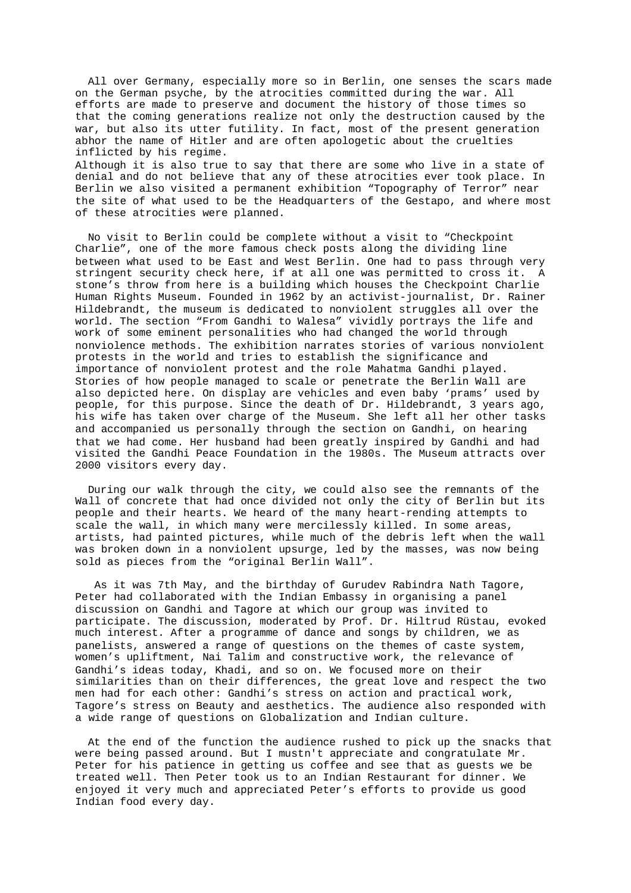All over Germany, especially more so in Berlin, one senses the scars made on the German psyche, by the atrocities committed during the war. All efforts are made to preserve and document the history of those times so that the coming generations realize not only the destruction caused by the war, but also its utter futility. In fact, most of the present generation abhor the name of Hitler and are often apologetic about the cruelties inflicted by his regime.

Although it is also true to say that there are some who live in a state of denial and do not believe that any of these atrocities ever took place. In Berlin we also visited a permanent exhibition "Topography of Terror" near the site of what used to be the Headquarters of the Gestapo, and where most of these atrocities were planned.

No visit to Berlin could be complete without a visit to "Checkpoint Charlie", one of the more famous check posts along the dividing line between what used to be East and West Berlin. One had to pass through very stringent security check here, if at all one was permitted to cross it. A stone's throw from here is a building which houses the Checkpoint Charlie Human Rights Museum. Founded in 1962 by an activist-journalist, Dr. Rainer Hildebrandt, the museum is dedicated to nonviolent struggles all over the world. The section "From Gandhi to Walesa" vividly portrays the life and work of some eminent personalities who had changed the world through nonviolence methods. The exhibition narrates stories of various nonviolent protests in the world and tries to establish the significance and importance of nonviolent protest and the role Mahatma Gandhi played. Stories of how people managed to scale or penetrate the Berlin Wall are also depicted here. On display are vehicles and even baby 'prams' used by people, for this purpose. Since the death of Dr. Hildebrandt, 3 years ago, his wife has taken over charge of the Museum. She left all her other tasks and accompanied us personally through the section on Gandhi, on hearing that we had come. Her husband had been greatly inspired by Gandhi and had visited the Gandhi Peace Foundation in the 1980s. The Museum attracts over 2000 visitors every day.

During our walk through the city, we could also see the remnants of the Wall of concrete that had once divided not only the city of Berlin but its people and their hearts. We heard of the many heart-rending attempts to scale the wall, in which many were mercilessly killed. In some areas, artists, had painted pictures, while much of the debris left when the wall was broken down in a nonviolent upsurge, led by the masses, was now being sold as pieces from the "original Berlin Wall".

As it was 7th May, and the birthday of Gurudev Rabindra Nath Tagore, Peter had collaborated with the Indian Embassy in organising a panel discussion on Gandhi and Tagore at which our group was invited to participate. The discussion, moderated by Prof. Dr. Hiltrud Rüstau, evoked much interest. After a programme of dance and songs by children, we as panelists, answered a range of questions on the themes of caste system, women's upliftment, Nai Talim and constructive work, the relevance of Gandhi's ideas today, Khadi, and so on. We focused more on their similarities than on their differences, the great love and respect the two men had for each other: Gandhi's stress on action and practical work, Tagore's stress on Beauty and aesthetics. The audience also responded with a wide range of questions on Globalization and Indian culture.

At the end of the function the audience rushed to pick up the snacks that were being passed around. But I mustn't appreciate and congratulate Mr. Peter for his patience in getting us coffee and see that as guests we be treated well. Then Peter took us to an Indian Restaurant for dinner. We enjoyed it very much and appreciated Peter's efforts to provide us good Indian food every day.